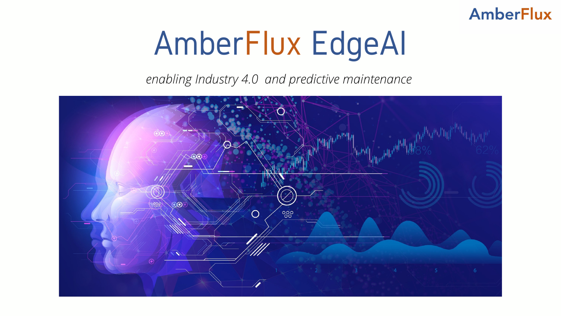# AmberFlux EdgeAI

*enabling Industry 4.0 and predictive maintenance*



### **AmberFlux**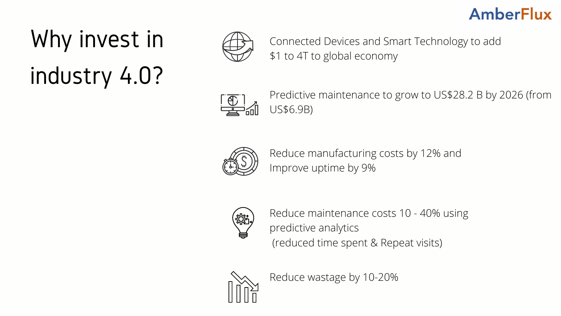### Why invest in industry 4.0?



### Connected Devices and Smart Technology to add

\$1 to 4T to global economy



Predictive maintenance to grow to US\$28.2 B by 2026 (from

US\$6.9B)



Reduce manufacturing costs by 12% and Improve uptime by 9%



Reduce maintenance costs 10 - 40% using predictive analytics (reduced time spent & Repeat visits)



Reduce wastage by 10-20%

#### **AmberFlux**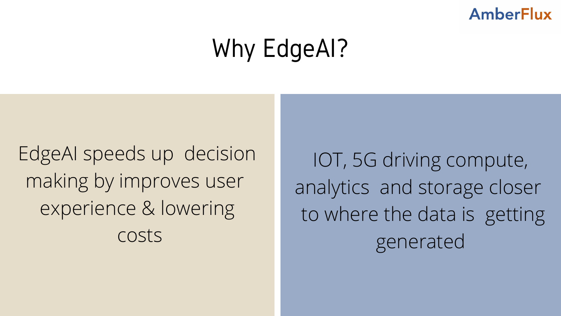### Why EdgeAI?

IOT, 5G driving compute, analytics and storage closer to where the data is getting generated

### **AmberFlux**

EdgeAI speeds up decision making by improves user experience & lowering costs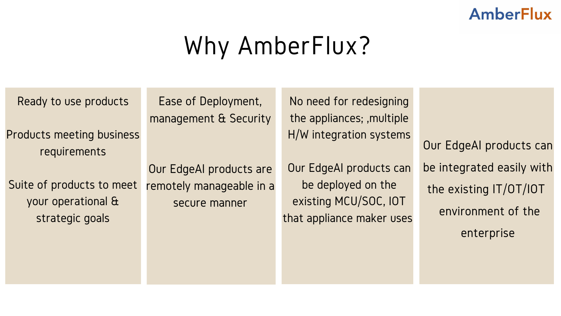### Why AmberFlux?

Our EdgeAI products can be integrated easily with the existing IT/OT/IOT environment of the enterprise

Ready to use products

Products meeting business requirements

Suite of products to meet your operational & strategic goals

Ease of Deployment, management & Security

Our EdgeAI products are remotely manageable in a secure manner

No need for redesigning the appliances; ,multiple H/W integration systems

Our EdgeAI products can be deployed on the existing MCU/SOC, IOT that appliance maker uses

### **AmberFlux**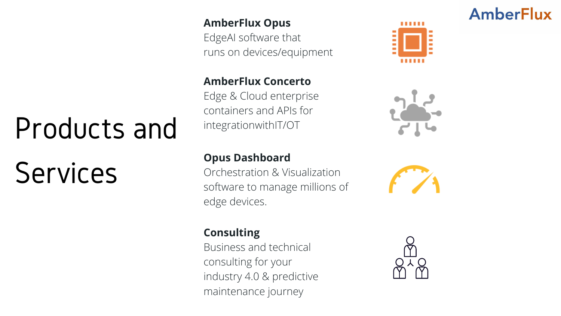#### **AmberFlux Opus**

EdgeAI software that runs on devices/equipment

#### **AmberFlux Concerto**

Edge & Cloud enterprise containers and APIs for integrationwithIT/OT

#### **Opus Dashboard**

Orchestration & Visualization software to manage millions of edge devices.

#### **Consulting**

Business and technical consulting for your industry 4.0 & predictive maintenance journey

#### **AmberFlux**









# Products and Services